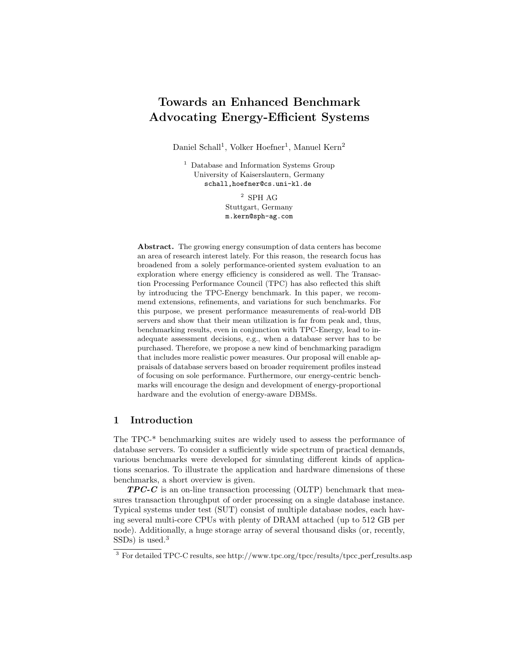# Towards an Enhanced Benchmark Advocating Energy-Efficient Systems

Daniel Schall<sup>1</sup>, Volker Hoefner<sup>1</sup>, Manuel Kern<sup>2</sup>

<sup>1</sup> Database and Information Systems Group University of Kaiserslautern, Germany schall,hoefner@cs.uni-kl.de

> <sup>2</sup> SPH AG Stuttgart, Germany m.kern@sph-ag.com

Abstract. The growing energy consumption of data centers has become an area of research interest lately. For this reason, the research focus has broadened from a solely performance-oriented system evaluation to an exploration where energy efficiency is considered as well. The Transaction Processing Performance Council (TPC) has also reflected this shift by introducing the TPC-Energy benchmark. In this paper, we recommend extensions, refinements, and variations for such benchmarks. For this purpose, we present performance measurements of real-world DB servers and show that their mean utilization is far from peak and, thus, benchmarking results, even in conjunction with TPC-Energy, lead to inadequate assessment decisions, e.g., when a database server has to be purchased. Therefore, we propose a new kind of benchmarking paradigm that includes more realistic power measures. Our proposal will enable appraisals of database servers based on broader requirement profiles instead of focusing on sole performance. Furthermore, our energy-centric benchmarks will encourage the design and development of energy-proportional hardware and the evolution of energy-aware DBMSs.

# 1 Introduction

The TPC-\* benchmarking suites are widely used to assess the performance of database servers. To consider a sufficiently wide spectrum of practical demands, various benchmarks were developed for simulating different kinds of applications scenarios. To illustrate the application and hardware dimensions of these benchmarks, a short overview is given.

 $TPC-C$  is an on-line transaction processing (OLTP) benchmark that measures transaction throughput of order processing on a single database instance. Typical systems under test (SUT) consist of multiple database nodes, each having several multi-core CPUs with plenty of DRAM attached (up to 512 GB per node). Additionally, a huge storage array of several thousand disks (or, recently, SSDs) is used.<sup>3</sup>

 $3$  For detailed TPC-C results, see http://www.tpc.org/tpcc/results/tpcc\_perf\_results.asp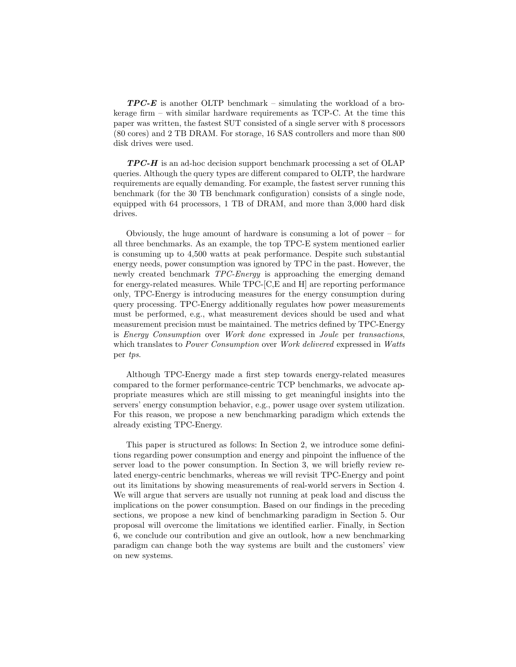$TPC-E$  is another OLTP benchmark – simulating the workload of a brokerage firm – with similar hardware requirements as TCP-C. At the time this paper was written, the fastest SUT consisted of a single server with 8 processors (80 cores) and 2 TB DRAM. For storage, 16 SAS controllers and more than 800 disk drives were used.

TPC-H is an ad-hoc decision support benchmark processing a set of OLAP queries. Although the query types are different compared to OLTP, the hardware requirements are equally demanding. For example, the fastest server running this benchmark (for the 30 TB benchmark configuration) consists of a single node, equipped with 64 processors, 1 TB of DRAM, and more than 3,000 hard disk drives.

Obviously, the huge amount of hardware is consuming a lot of power – for all three benchmarks. As an example, the top TPC-E system mentioned earlier is consuming up to 4,500 watts at peak performance. Despite such substantial energy needs, power consumption was ignored by TPC in the past. However, the newly created benchmark TPC-Energy is approaching the emerging demand for energy-related measures. While TPC-[C,E and H] are reporting performance only, TPC-Energy is introducing measures for the energy consumption during query processing. TPC-Energy additionally regulates how power measurements must be performed, e.g., what measurement devices should be used and what measurement precision must be maintained. The metrics defined by TPC-Energy is Energy Consumption over Work done expressed in Joule per transactions, which translates to *Power Consumption* over *Work delivered* expressed in *Watts* per tps.

Although TPC-Energy made a first step towards energy-related measures compared to the former performance-centric TCP benchmarks, we advocate appropriate measures which are still missing to get meaningful insights into the servers' energy consumption behavior, e.g., power usage over system utilization. For this reason, we propose a new benchmarking paradigm which extends the already existing TPC-Energy.

This paper is structured as follows: In Section 2, we introduce some definitions regarding power consumption and energy and pinpoint the influence of the server load to the power consumption. In Section 3, we will briefly review related energy-centric benchmarks, whereas we will revisit TPC-Energy and point out its limitations by showing measurements of real-world servers in Section 4. We will argue that servers are usually not running at peak load and discuss the implications on the power consumption. Based on our findings in the preceding sections, we propose a new kind of benchmarking paradigm in Section 5. Our proposal will overcome the limitations we identified earlier. Finally, in Section 6, we conclude our contribution and give an outlook, how a new benchmarking paradigm can change both the way systems are built and the customers' view on new systems.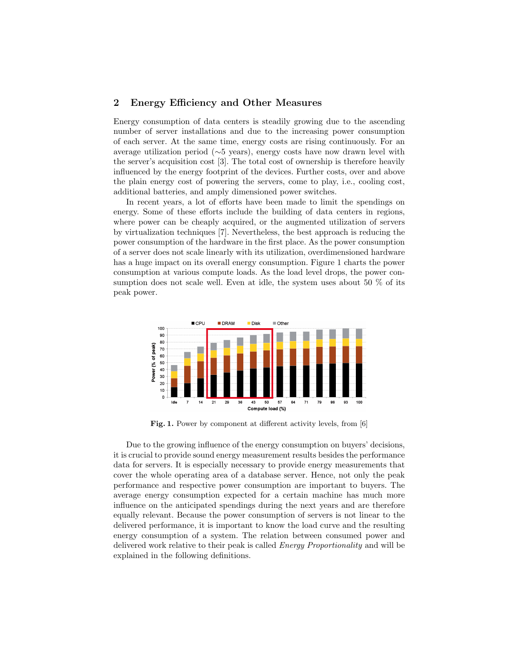# 2 Energy Efficiency and Other Measures

Energy consumption of data centers is steadily growing due to the ascending number of server installations and due to the increasing power consumption of each server. At the same time, energy costs are rising continuously. For an average utilization period (∼5 years), energy costs have now drawn level with the server's acquisition cost [3]. The total cost of ownership is therefore heavily influenced by the energy footprint of the devices. Further costs, over and above the plain energy cost of powering the servers, come to play, i.e., cooling cost, additional batteries, and amply dimensioned power switches.

In recent years, a lot of efforts have been made to limit the spendings on energy. Some of these efforts include the building of data centers in regions, where power can be cheaply acquired, or the augmented utilization of servers by virtualization techniques [7]. Nevertheless, the best approach is reducing the power consumption of the hardware in the first place. As the power consumption of a server does not scale linearly with its utilization, overdimensioned hardware has a huge impact on its overall energy consumption. Figure 1 charts the power consumption at various compute loads. As the load level drops, the power consumption does not scale well. Even at idle, the system uses about 50 % of its peak power.



Fig. 1. Power by component at different activity levels, from [6]

Due to the growing influence of the energy consumption on buyers' decisions, it is crucial to provide sound energy measurement results besides the performance data for servers. It is especially necessary to provide energy measurements that cover the whole operating area of a database server. Hence, not only the peak performance and respective power consumption are important to buyers. The average energy consumption expected for a certain machine has much more influence on the anticipated spendings during the next years and are therefore equally relevant. Because the power consumption of servers is not linear to the delivered performance, it is important to know the load curve and the resulting energy consumption of a system. The relation between consumed power and delivered work relative to their peak is called Energy Proportionality and will be explained in the following definitions.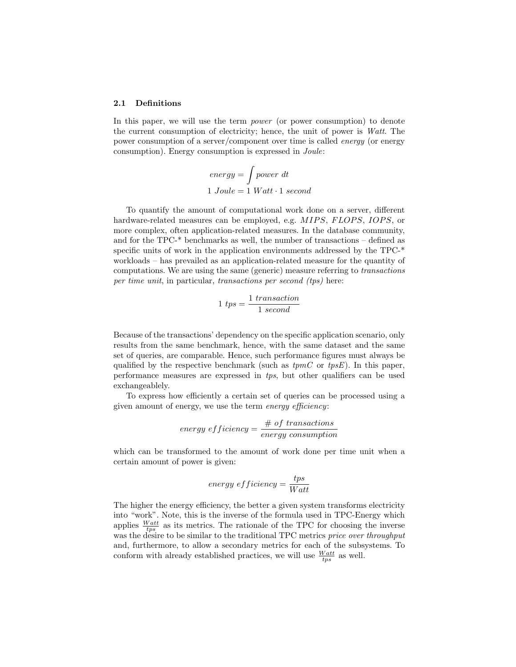#### 2.1 Definitions

In this paper, we will use the term *power* (or power consumption) to denote the current consumption of electricity; hence, the unit of power is Watt. The power consumption of a server/component over time is called energy (or energy consumption). Energy consumption is expressed in Joule:

$$
energy = \int power \ dt
$$
  
1 Joule = 1 Watt · 1 second

To quantify the amount of computational work done on a server, different hardware-related measures can be employed, e.g.  $MIPS$ ,  $FLOPS$ ,  $IOPS$ , or more complex, often application-related measures. In the database community, and for the TPC-\* benchmarks as well, the number of transactions – defined as specific units of work in the application environments addressed by the TPC-\* workloads – has prevailed as an application-related measure for the quantity of computations. We are using the same (generic) measure referring to transactions per time unit, in particular, transactions per second (tps) here:

$$
1 \; tps = \frac{1 \; transaction}{1 \; second}
$$

Because of the transactions' dependency on the specific application scenario, only results from the same benchmark, hence, with the same dataset and the same set of queries, are comparable. Hence, such performance figures must always be qualified by the respective benchmark (such as  $tpmC$  or  $tpsE$ ). In this paper, performance measures are expressed in tps, but other qualifiers can be used exchangeablely.

To express how efficiently a certain set of queries can be processed using a given amount of energy, we use the term energy efficiency:

$$
energy\ efficiency = \frac{\# \ of\ transactions}{energy\ consumption}
$$

which can be transformed to the amount of work done per time unit when a certain amount of power is given:

$$
energy\ efficiency = \frac{tps}{Watt}
$$

The higher the energy efficiency, the better a given system transforms electricity into "work". Note, this is the inverse of the formula used in TPC-Energy which applies  $\frac{W_{att}}{tps}$  as its metrics. The rationale of the TPC for choosing the inverse was the desire to be similar to the traditional TPC metrics price over throughput and, furthermore, to allow a secondary metrics for each of the subsystems. To conform with already established practices, we will use  $\frac{Watt}{tps}$  as well.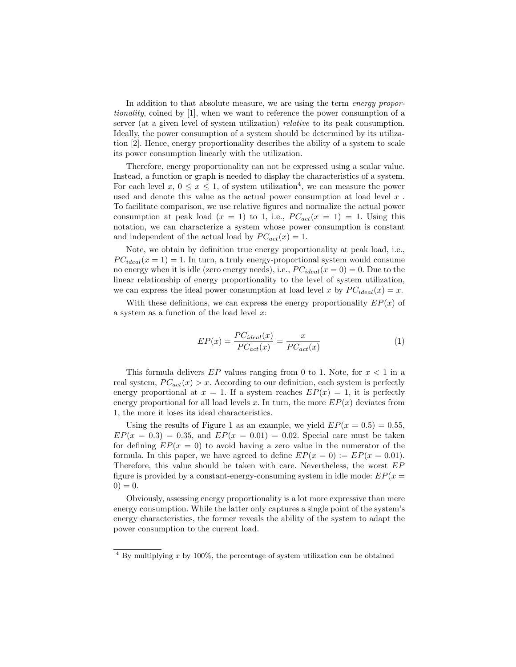In addition to that absolute measure, we are using the term *energy propor*tionality, coined by [1], when we want to reference the power consumption of a server (at a given level of system utilization) relative to its peak consumption. Ideally, the power consumption of a system should be determined by its utilization [2]. Hence, energy proportionality describes the ability of a system to scale its power consumption linearly with the utilization.

Therefore, energy proportionality can not be expressed using a scalar value. Instead, a function or graph is needed to display the characteristics of a system. For each level  $x, 0 \le x \le 1$ , of system utilization<sup>4</sup>, we can measure the power used and denote this value as the actual power consumption at load level  $x$ . To facilitate comparison, we use relative figures and normalize the actual power consumption at peak load  $(x = 1)$  to 1, i.e.,  $PC_{act}(x = 1) = 1$ . Using this notation, we can characterize a system whose power consumption is constant and independent of the actual load by  $PC_{act}(x) = 1$ .

Note, we obtain by definition true energy proportionality at peak load, i.e.,  $PC_{ideal}(x = 1) = 1$ . In turn, a truly energy-proportional system would consume no energy when it is idle (zero energy needs), i.e.,  $PC_{ideal}(x = 0) = 0$ . Due to the linear relationship of energy proportionality to the level of system utilization, we can express the ideal power consumption at load level x by  $PC_{ideal}(x) = x$ .

With these definitions, we can express the energy proportionality  $EP(x)$  of a system as a function of the load level x:

$$
EP(x) = \frac{PC_{ideal}(x)}{PC_{act}(x)} = \frac{x}{PC_{act}(x)}\tag{1}
$$

This formula delivers  $EP$  values ranging from 0 to 1. Note, for  $x < 1$  in a real system,  $PC_{act}(x) > x$ . According to our definition, each system is perfectly energy proportional at  $x = 1$ . If a system reaches  $EP(x) = 1$ , it is perfectly energy proportional for all load levels x. In turn, the more  $EP(x)$  deviates from 1, the more it loses its ideal characteristics.

Using the results of Figure 1 as an example, we yield  $EP(x = 0.5) = 0.55$ ,  $EP(x = 0.3) = 0.35$ , and  $EP(x = 0.01) = 0.02$ . Special care must be taken for defining  $EP(x = 0)$  to avoid having a zero value in the numerator of the formula. In this paper, we have agreed to define  $EP(x = 0) := EP(x = 0.01)$ . Therefore, this value should be taken with care. Nevertheless, the worst EP figure is provided by a constant-energy-consuming system in idle mode:  $EP(x =$  $0) = 0.$ 

Obviously, assessing energy proportionality is a lot more expressive than mere energy consumption. While the latter only captures a single point of the system's energy characteristics, the former reveals the ability of the system to adapt the power consumption to the current load.

 $4 By$  multiplying x by 100%, the percentage of system utilization can be obtained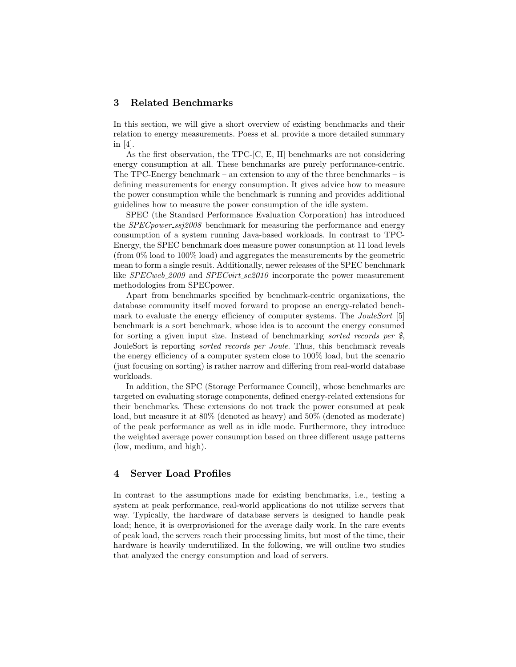# 3 Related Benchmarks

In this section, we will give a short overview of existing benchmarks and their relation to energy measurements. Poess et al. provide a more detailed summary in [4].

As the first observation, the TPC-[C, E, H] benchmarks are not considering energy consumption at all. These benchmarks are purely performance-centric. The TPC-Energy benchmark – an extension to any of the three benchmarks – is defining measurements for energy consumption. It gives advice how to measure the power consumption while the benchmark is running and provides additional guidelines how to measure the power consumption of the idle system.

SPEC (the Standard Performance Evaluation Corporation) has introduced the *SPECpower\_ssj2008* benchmark for measuring the performance and energy consumption of a system running Java-based workloads. In contrast to TPC-Energy, the SPEC benchmark does measure power consumption at 11 load levels (from 0% load to 100% load) and aggregates the measurements by the geometric mean to form a single result. Additionally, newer releases of the SPEC benchmark like SPECweb 2009 and SPECvirt sc2010 incorporate the power measurement methodologies from SPECpower.

Apart from benchmarks specified by benchmark-centric organizations, the database community itself moved forward to propose an energy-related benchmark to evaluate the energy efficiency of computer systems. The *JouleSort* [5] benchmark is a sort benchmark, whose idea is to account the energy consumed for sorting a given input size. Instead of benchmarking sorted records per \$, JouleSort is reporting sorted records per Joule. Thus, this benchmark reveals the energy efficiency of a computer system close to 100% load, but the scenario (just focusing on sorting) is rather narrow and differing from real-world database workloads.

In addition, the SPC (Storage Performance Council), whose benchmarks are targeted on evaluating storage components, defined energy-related extensions for their benchmarks. These extensions do not track the power consumed at peak load, but measure it at 80% (denoted as heavy) and 50% (denoted as moderate) of the peak performance as well as in idle mode. Furthermore, they introduce the weighted average power consumption based on three different usage patterns (low, medium, and high).

# 4 Server Load Profiles

In contrast to the assumptions made for existing benchmarks, i.e., testing a system at peak performance, real-world applications do not utilize servers that way. Typically, the hardware of database servers is designed to handle peak load; hence, it is overprovisioned for the average daily work. In the rare events of peak load, the servers reach their processing limits, but most of the time, their hardware is heavily underutilized. In the following, we will outline two studies that analyzed the energy consumption and load of servers.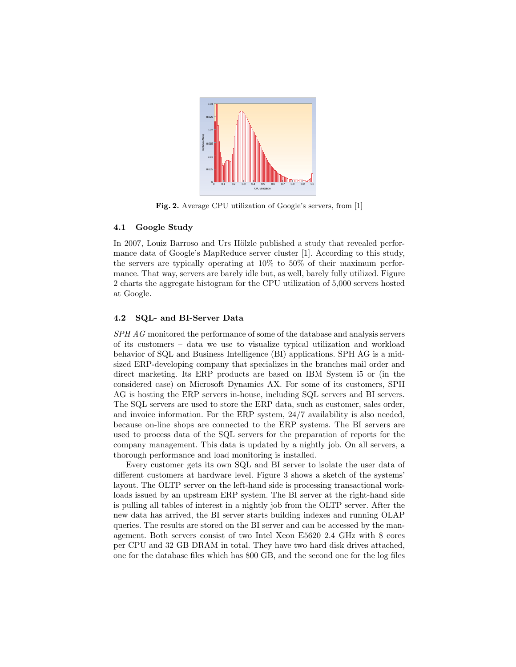

Fig. 2. Average CPU utilization of Google's servers, from [1]

#### 4.1 Google Study

In 2007, Louiz Barroso and Urs Hölzle published a study that revealed performance data of Google's MapReduce server cluster [1]. According to this study, the servers are typically operating at 10% to 50% of their maximum performance. That way, servers are barely idle but, as well, barely fully utilized. Figure 2 charts the aggregate histogram for the CPU utilization of 5,000 servers hosted at Google.

### 4.2 SQL- and BI-Server Data

SPH AG monitored the performance of some of the database and analysis servers of its customers – data we use to visualize typical utilization and workload behavior of SQL and Business Intelligence (BI) applications. SPH AG is a midsized ERP-developing company that specializes in the branches mail order and direct marketing. Its ERP products are based on IBM System i5 or (in the considered case) on Microsoft Dynamics AX. For some of its customers, SPH AG is hosting the ERP servers in-house, including SQL servers and BI servers. The SQL servers are used to store the ERP data, such as customer, sales order, and invoice information. For the ERP system, 24/7 availability is also needed, because on-line shops are connected to the ERP systems. The BI servers are used to process data of the SQL servers for the preparation of reports for the company management. This data is updated by a nightly job. On all servers, a thorough performance and load monitoring is installed.

Every customer gets its own SQL and BI server to isolate the user data of different customers at hardware level. Figure 3 shows a sketch of the systems' layout. The OLTP server on the left-hand side is processing transactional workloads issued by an upstream ERP system. The BI server at the right-hand side is pulling all tables of interest in a nightly job from the OLTP server. After the new data has arrived, the BI server starts building indexes and running OLAP queries. The results are stored on the BI server and can be accessed by the management. Both servers consist of two Intel Xeon E5620 2.4 GHz with 8 cores per CPU and 32 GB DRAM in total. They have two hard disk drives attached, one for the database files which has 800 GB, and the second one for the log files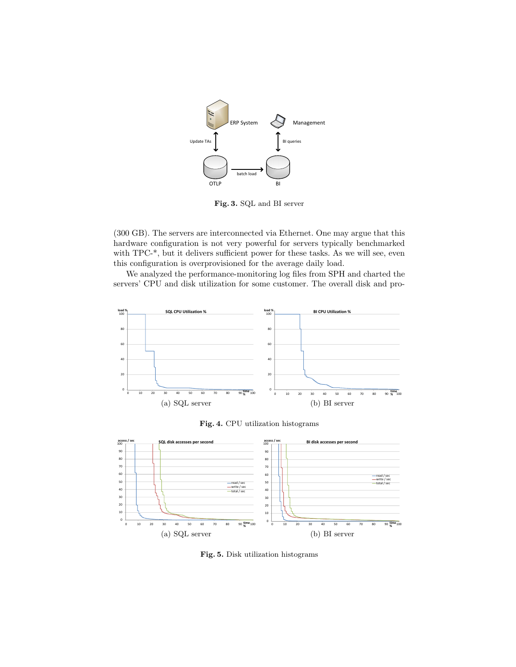

Fig. 3. SQL and BI server

(300 GB). The servers are interconnected via Ethernet. One may argue that this hardware configuration is not very powerful for servers typically benchmarked with TPC-\*, but it delivers sufficient power for these tasks. As we will see, even this configuration is overprovisioned for the average daily load.

We analyzed the performance-monitoring log files from SPH and charted the servers' CPU and disk utilization for some customer. The overall disk and pro-



Fig. 4. CPU utilization histograms



Fig. 5. Disk utilization histograms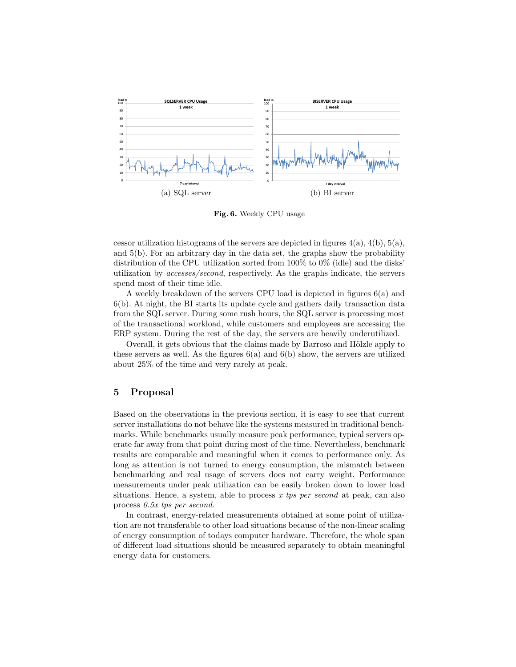

Fig. 6. Weekly CPU usage

cessor utilization histograms of the servers are depicted in figures  $4(a)$ ,  $4(b)$ ,  $5(a)$ , and 5(b). For an arbitrary day in the data set, the graphs show the probability distribution of the CPU utilization sorted from 100% to 0% (idle) and the disks' utilization by accesses/second, respectively. As the graphs indicate, the servers spend most of their time idle.

A weekly breakdown of the servers CPU load is depicted in figures 6(a) and 6(b). At night, the BI starts its update cycle and gathers daily transaction data from the SQL server. During some rush hours, the SQL server is processing most of the transactional workload, while customers and employees are accessing the ERP system. During the rest of the day, the servers are heavily underutilized.

Overall, it gets obvious that the claims made by Barroso and Hölzle apply to these servers as well. As the figures  $6(a)$  and  $6(b)$  show, the servers are utilized about 25% of the time and very rarely at peak.

### 5 Proposal

Based on the observations in the previous section, it is easy to see that current server installations do not behave like the systems measured in traditional benchmarks. While benchmarks usually measure peak performance, typical servers operate far away from that point during most of the time. Nevertheless, benchmark results are comparable and meaningful when it comes to performance only. As long as attention is not turned to energy consumption, the mismatch between benchmarking and real usage of servers does not carry weight. Performance measurements under peak utilization can be easily broken down to lower load situations. Hence, a system, able to process  $x$  tps per second at peak, can also process 0.5x tps per second.

In contrast, energy-related measurements obtained at some point of utilization are not transferable to other load situations because of the non-linear scaling of energy consumption of todays computer hardware. Therefore, the whole span of different load situations should be measured separately to obtain meaningful energy data for customers.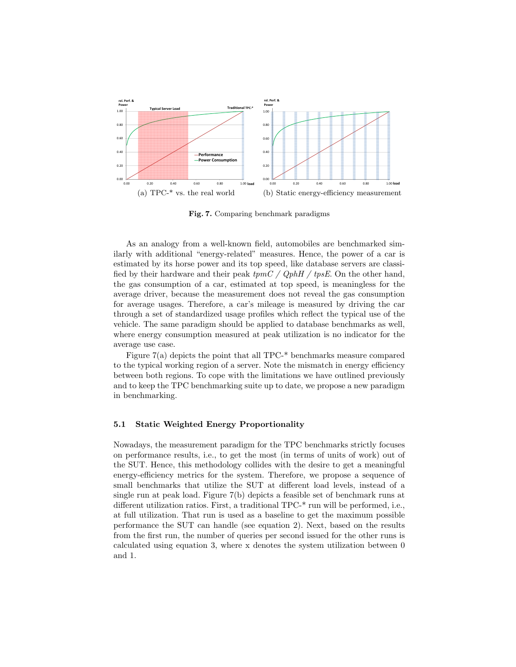

Fig. 7. Comparing benchmark paradigms

As an analogy from a well-known field, automobiles are benchmarked similarly with additional "energy-related" measures. Hence, the power of a car is estimated by its horse power and its top speed, like database servers are classified by their hardware and their peak  $tpmC / QphH / tpsE$ . On the other hand, the gas consumption of a car, estimated at top speed, is meaningless for the average driver, because the measurement does not reveal the gas consumption for average usages. Therefore, a car's mileage is measured by driving the car through a set of standardized usage profiles which reflect the typical use of the vehicle. The same paradigm should be applied to database benchmarks as well, where energy consumption measured at peak utilization is no indicator for the average use case.

Figure 7(a) depicts the point that all TPC-\* benchmarks measure compared to the typical working region of a server. Note the mismatch in energy efficiency between both regions. To cope with the limitations we have outlined previously and to keep the TPC benchmarking suite up to date, we propose a new paradigm in benchmarking.

#### 5.1 Static Weighted Energy Proportionality

Nowadays, the measurement paradigm for the TPC benchmarks strictly focuses on performance results, i.e., to get the most (in terms of units of work) out of the SUT. Hence, this methodology collides with the desire to get a meaningful energy-efficiency metrics for the system. Therefore, we propose a sequence of small benchmarks that utilize the SUT at different load levels, instead of a single run at peak load. Figure 7(b) depicts a feasible set of benchmark runs at different utilization ratios. First, a traditional TPC-\* run will be performed, i.e., at full utilization. That run is used as a baseline to get the maximum possible performance the SUT can handle (see equation 2). Next, based on the results from the first run, the number of queries per second issued for the other runs is calculated using equation 3, where x denotes the system utilization between 0 and 1.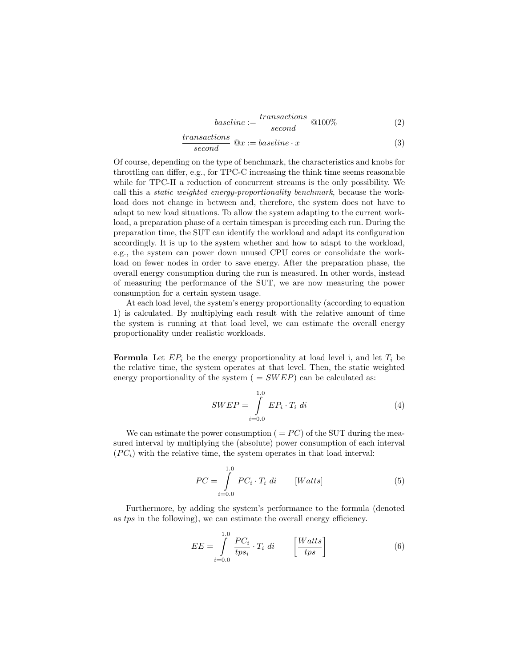$$
baseline := \frac{transactions}{second} \quad \textcircled{100\%} \tag{2}
$$

$$
\frac{transactions}{second} @ x := baseline \cdot x \tag{3}
$$

Of course, depending on the type of benchmark, the characteristics and knobs for throttling can differ, e.g., for TPC-C increasing the think time seems reasonable while for TPC-H a reduction of concurrent streams is the only possibility. We call this a static weighted energy-proportionality benchmark, because the workload does not change in between and, therefore, the system does not have to adapt to new load situations. To allow the system adapting to the current workload, a preparation phase of a certain timespan is preceding each run. During the preparation time, the SUT can identify the workload and adapt its configuration accordingly. It is up to the system whether and how to adapt to the workload, e.g., the system can power down unused CPU cores or consolidate the workload on fewer nodes in order to save energy. After the preparation phase, the overall energy consumption during the run is measured. In other words, instead of measuring the performance of the SUT, we are now measuring the power consumption for a certain system usage.

At each load level, the system's energy proportionality (according to equation 1) is calculated. By multiplying each result with the relative amount of time the system is running at that load level, we can estimate the overall energy proportionality under realistic workloads.

Formula Let  $EP_i$  be the energy proportionality at load level i, and let  $T_i$  be the relative time, the system operates at that level. Then, the static weighted energy proportionality of the system  $( = SWEP)$  can be calculated as:

$$
SWEP = \int_{i=0.0}^{1.0} EP_i \cdot T_i \, di \tag{4}
$$

We can estimate the power consumption  $( = PC)$  of the SUT during the measured interval by multiplying the (absolute) power consumption of each interval  $(PC<sub>i</sub>)$  with the relative time, the system operates in that load interval:

$$
PC = \int_{i=0.0}^{1.0} PC_i \cdot T_i \, di \qquad [Watts] \tag{5}
$$

Furthermore, by adding the system's performance to the formula (denoted as tps in the following), we can estimate the overall energy efficiency.

$$
EE = \int_{i=0.0}^{1.0} \frac{PC_i}{tps_i} \cdot T_i \, di \qquad \left[\frac{Watts}{tps}\right] \tag{6}
$$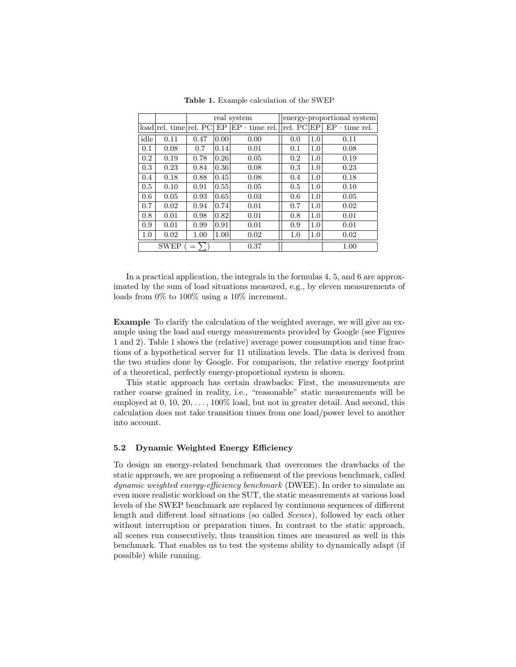|                    |                        | real system |      |                      | energy-proportional system |     |                      |
|--------------------|------------------------|-------------|------|----------------------|----------------------------|-----|----------------------|
|                    | load rel. time rel. PC |             | EP   | $EP \cdot time rel.$ | $rel.$ PC EP               |     | $EP \cdot time rel.$ |
| idle               | 0.11                   | 0.47        | 0.00 | 0.00                 | 0.0                        | 1.0 | 0.11                 |
| 0.1                | 0.08                   | 0.7         | 0.14 | 0.01                 | 0.1                        | 1.0 | 0.08                 |
| 0.2                | 0.19                   | 0.78        | 0.26 | 0.05                 | 0.2                        | 1.0 | 0.19                 |
| 0.3                | 0.23                   | 0.84        | 0.36 | 0.08                 | 0.3                        | 1.0 | 0.23                 |
| 0.4                | 0.18                   | 0.88        | 0.45 | 0.08                 | 0.4                        | 1.0 | 0.18                 |
| 0.5                | 0.10                   | 0.91        | 0.55 | 0.05                 | 0.5                        | 1.0 | 0.10                 |
| 0.6                | 0.05                   | 0.93        | 0.65 | 0.03                 | 0.6                        | 1.0 | 0.05                 |
| 0.7                | 0.02                   | 0.94        | 0.74 | 0.01                 | 0.7                        | 1.0 | 0.02                 |
| 0.8                | 0.01                   | 0.98        | 0.82 | 0.01                 | 0.8                        | 1.0 | 0.01                 |
| 0.9                | 0.01                   | 0.99        | 0.91 | 0.01                 | 0.9                        | 1.0 | 0.01                 |
| 1.0                | 0.02                   | 1.00        | 1.00 | 0.02                 | 1.0                        | 1.0 | 0.02                 |
| <b>SWEP</b><br>$=$ |                        |             |      | 0.37                 |                            |     | 1.00                 |

Table 1. Example calculation of the SWEP

In a practical application, the integrals in the formulas 4, 5, and 6 are approximated by the sum of load situations measured, e.g., by eleven measurements of loads from 0% to 100% using a 10% increment.

Example To clarify the calculation of the weighted average, we will give an example using the load and energy measurements provided by Google (see Figures 1 and 2). Table 1 shows the (relative) average power consumption and time fractions of a hypothetical server for 11 utilization levels. The data is derived from the two studies done by Google. For comparison, the relative energy footprint of a theoretical, perfectly energy-proportional system is shown.

This static approach has certain drawbacks: First, the measurements are rather coarse grained in reality, i.e., "reasonable" static measurements will be employed at  $0, 10, 20, \ldots, 100\%$  load, but not in greater detail. And second, this calculation does not take transition times from one load/power level to another into account.

#### 5.2 Dynamic Weighted Energy Efficiency

To design an energy-related benchmark that overcomes the drawbacks of the static approach, we are proposing a refinement of the previous benchmark, called dynamic weighted energy-efficiency benchmark (DWEE). In order to simulate an even more realistic workload on the SUT, the static measurements at various load levels of the SWEP benchmark are replaced by continuous sequences of different length and different load situations (so called Scenes), followed by each other without interruption or preparation times. In contrast to the static approach, all scenes run consecutively, thus transition times are measured as well in this benchmark. That enables us to test the systems ability to dynamically adapt (if possible) while running.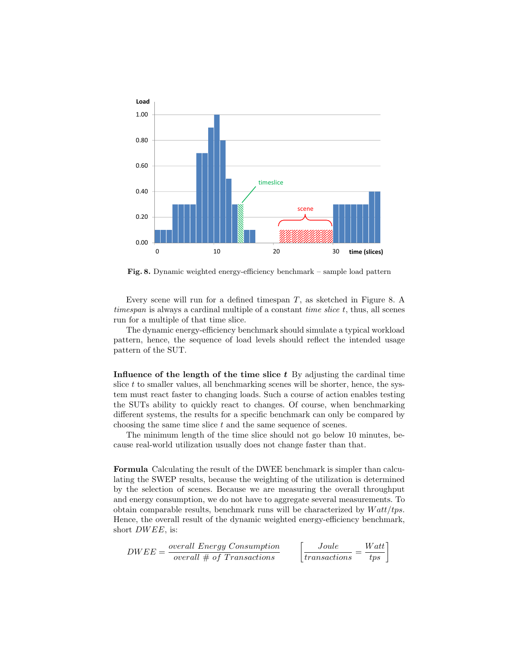

Fig. 8. Dynamic weighted energy-efficiency benchmark – sample load pattern

Every scene will run for a defined timespan  $T$ , as sketched in Figure 8. A  $timespan$  is always a cardinal multiple of a constant *time slice t*, thus, all scenes run for a multiple of that time slice.

The dynamic energy-efficiency benchmark should simulate a typical workload pattern, hence, the sequence of load levels should reflect the intended usage pattern of the SUT.

Influence of the length of the time slice  $t$  By adjusting the cardinal time slice  $t$  to smaller values, all benchmarking scenes will be shorter, hence, the system must react faster to changing loads. Such a course of action enables testing the SUTs ability to quickly react to changes. Of course, when benchmarking different systems, the results for a specific benchmark can only be compared by choosing the same time slice t and the same sequence of scenes.

The minimum length of the time slice should not go below 10 minutes, because real-world utilization usually does not change faster than that.

Formula Calculating the result of the DWEE benchmark is simpler than calculating the SWEP results, because the weighting of the utilization is determined by the selection of scenes. Because we are measuring the overall throughput and energy consumption, we do not have to aggregate several measurements. To obtain comparable results, benchmark runs will be characterized by  $Watt/tps$ . Hence, the overall result of the dynamic weighted energy-efficiency benchmark, short  $DWEE$ , is:

$$
DWEE = \frac{overall\ Energy\ Consumption}{overall\ #\ of\ Transactions} \qquad \left[ \frac{Joule}{transactions} = \frac{Watt}{tps} \right]
$$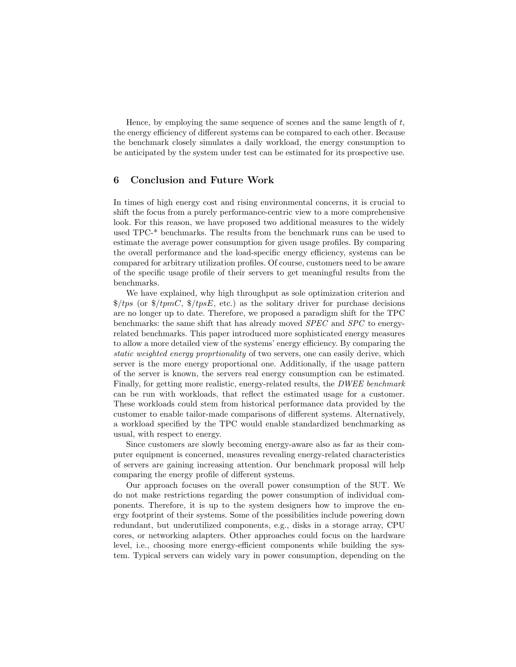Hence, by employing the same sequence of scenes and the same length of  $t$ , the energy efficiency of different systems can be compared to each other. Because the benchmark closely simulates a daily workload, the energy consumption to be anticipated by the system under test can be estimated for its prospective use.

# 6 Conclusion and Future Work

In times of high energy cost and rising environmental concerns, it is crucial to shift the focus from a purely performance-centric view to a more comprehensive look. For this reason, we have proposed two additional measures to the widely used TPC-\* benchmarks. The results from the benchmark runs can be used to estimate the average power consumption for given usage profiles. By comparing the overall performance and the load-specific energy efficiency, systems can be compared for arbitrary utilization profiles. Of course, customers need to be aware of the specific usage profile of their servers to get meaningful results from the benchmarks.

We have explained, why high throughput as sole optimization criterion and  $\frac{s}{tps}$  (or  $\frac{s}{tpsC}$ ,  $\frac{s}{tpsE}$ , etc.) as the solitary driver for purchase decisions are no longer up to date. Therefore, we proposed a paradigm shift for the TPC benchmarks: the same shift that has already moved SPEC and SPC to energyrelated benchmarks. This paper introduced more sophisticated energy measures to allow a more detailed view of the systems' energy efficiency. By comparing the static weighted energy proprtionality of two servers, one can easily derive, which server is the more energy proportional one. Additionally, if the usage pattern of the server is known, the servers real energy consumption can be estimated. Finally, for getting more realistic, energy-related results, the DWEE benchmark can be run with workloads, that reflect the estimated usage for a customer. These workloads could stem from historical performance data provided by the customer to enable tailor-made comparisons of different systems. Alternatively, a workload specified by the TPC would enable standardized benchmarking as usual, with respect to energy.

Since customers are slowly becoming energy-aware also as far as their computer equipment is concerned, measures revealing energy-related characteristics of servers are gaining increasing attention. Our benchmark proposal will help comparing the energy profile of different systems.

Our approach focuses on the overall power consumption of the SUT. We do not make restrictions regarding the power consumption of individual components. Therefore, it is up to the system designers how to improve the energy footprint of their systems. Some of the possibilities include powering down redundant, but underutilized components, e.g., disks in a storage array, CPU cores, or networking adapters. Other approaches could focus on the hardware level, i.e., choosing more energy-efficient components while building the system. Typical servers can widely vary in power consumption, depending on the